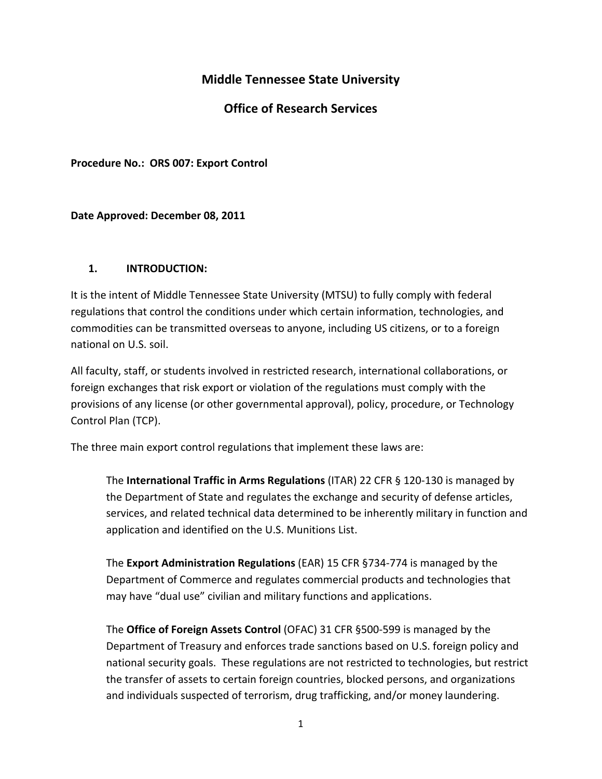# **Middle Tennessee State University**

# **Office of Research Services**

**Procedure No.: ORS 007: Export Control**

#### **Date Approved: December 08, 2011**

#### **1. INTRODUCTION:**

It is the intent of Middle Tennessee State University (MTSU) to fully comply with federal regulations that control the conditions under which certain information, technologies, and commodities can be transmitted overseas to anyone, including US citizens, or to a foreign national on U.S. soil.

All faculty, staff, or students involved in restricted research, international collaborations, or foreign exchanges that risk export or violation of the regulations must comply with the provisions of any license (or other governmental approval), policy, procedure, or Technology Control Plan (TCP).

The three main export control regulations that implement these laws are:

The **International Traffic in Arms Regulations** (ITAR) 22 CFR § 120‐130 is managed by the Department of State and regulates the exchange and security of defense articles, services, and related technical data determined to be inherently military in function and application and identified on the U.S. Munitions List.

The **Export Administration Regulations** (EAR) 15 CFR §734‐774 is managed by the Department of Commerce and regulates commercial products and technologies that may have "dual use" civilian and military functions and applications.

The **Office of Foreign Assets Control** (OFAC) 31 CFR §500‐599 is managed by the Department of Treasury and enforces trade sanctions based on U.S. foreign policy and national security goals. These regulations are not restricted to technologies, but restrict the transfer of assets to certain foreign countries, blocked persons, and organizations and individuals suspected of terrorism, drug trafficking, and/or money laundering.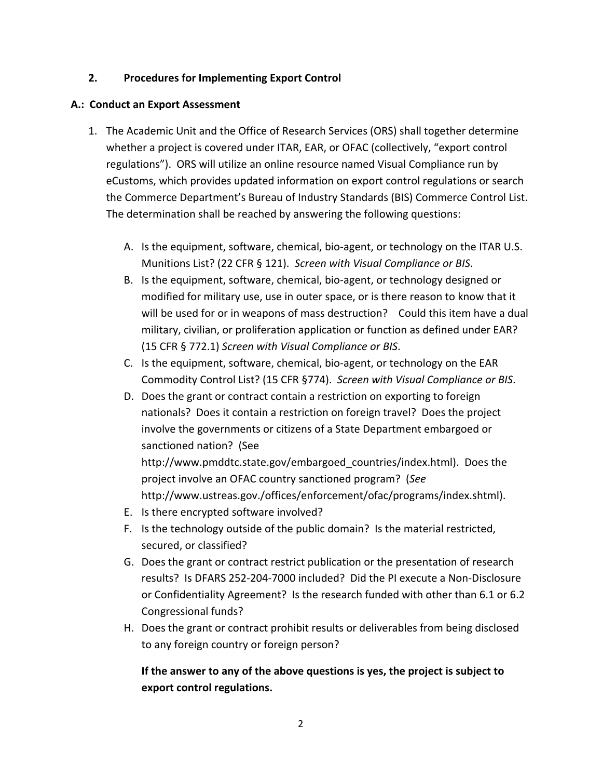### **2. Procedures for Implementing Export Control**

#### **A.: Conduct an Export Assessment**

- 1. The Academic Unit and the Office of Research Services (ORS) shall together determine whether a project is covered under ITAR, EAR, or OFAC (collectively, "export control regulations"). ORS will utilize an online resource named Visual Compliance run by eCustoms, which provides updated information on export control regulations or search the Commerce Department's Bureau of Industry Standards (BIS) Commerce Control List. The determination shall be reached by answering the following questions:
	- A. Is the equipment, software, chemical, bio‐agent, or technology on the ITAR U.S. Munitions List? (22 CFR § 121). *Screen with Visual Compliance or BIS*.
	- B. Is the equipment, software, chemical, bio‐agent, or technology designed or modified for military use, use in outer space, or is there reason to know that it will be used for or in weapons of mass destruction? Could this item have a dual military, civilian, or proliferation application or function as defined under EAR? (15 CFR § 772.1) *Screen with Visual Compliance or BIS*.
	- C. Is the equipment, software, chemical, bio‐agent, or technology on the EAR Commodity Control List? (15 CFR §774). *Screen with Visual Compliance or BIS*.
	- D. Does the grant or contract contain a restriction on exporting to foreign nationals? Does it contain a restriction on foreign travel? Does the project involve the governments or citizens of a State Department embargoed or sanctioned nation? (See

http://www.pmddtc.state.gov/embargoed\_countries/index.html). Does the project involve an OFAC country sanctioned program? (*See* http://www.ustreas.gov./offices/enforcement/ofac/programs/index.shtml).

- E. Is there encrypted software involved?
- F. Is the technology outside of the public domain? Is the material restricted, secured, or classified?
- G. Does the grant or contract restrict publication or the presentation of research results? Is DFARS 252‐204‐7000 included? Did the PI execute a Non‐Disclosure or Confidentiality Agreement? Is the research funded with other than 6.1 or 6.2 Congressional funds?
- H. Does the grant or contract prohibit results or deliverables from being disclosed to any foreign country or foreign person?

# **If the answer to any of the above questions is yes, the project is subject to export control regulations.**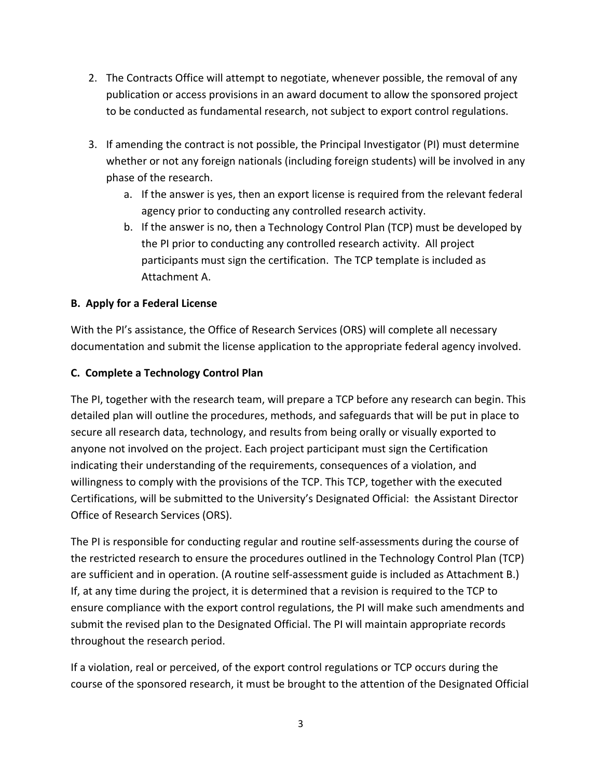- 2. The Contracts Office will attempt to negotiate, whenever possible, the removal of any publication or access provisions in an award document to allow the sponsored project to be conducted as fundamental research, not subject to export control regulations.
- 3. If amending the contract is not possible, the Principal Investigator (PI) must determine whether or not any foreign nationals (including foreign students) will be involved in any phase of the research.
	- a. If the answer is yes, then an export license is required from the relevant federal agency prior to conducting any controlled research activity.
	- b. If the answer is no, then a Technology Control Plan (TCP) must be developed by the PI prior to conducting any controlled research activity. All project participants must sign the certification. The TCP template is included as Attachment A.

# **B. Apply for a Federal License**

With the PI's assistance, the Office of Research Services (ORS) will complete all necessary documentation and submit the license application to the appropriate federal agency involved.

# **C. Complete a Technology Control Plan**

The PI, together with the research team, will prepare a TCP before any research can begin. This detailed plan will outline the procedures, methods, and safeguards that will be put in place to secure all research data, technology, and results from being orally or visually exported to anyone not involved on the project. Each project participant must sign the Certification indicating their understanding of the requirements, consequences of a violation, and willingness to comply with the provisions of the TCP. This TCP, together with the executed Certifications, will be submitted to the University's Designated Official: the Assistant Director Office of Research Services (ORS).

The PI is responsible for conducting regular and routine self‐assessments during the course of the restricted research to ensure the procedures outlined in the Technology Control Plan (TCP) are sufficient and in operation. (A routine self‐assessment guide is included as Attachment B.) If, at any time during the project, it is determined that a revision is required to the TCP to ensure compliance with the export control regulations, the PI will make such amendments and submit the revised plan to the Designated Official. The PI will maintain appropriate records throughout the research period.

If a violation, real or perceived, of the export control regulations or TCP occurs during the course of the sponsored research, it must be brought to the attention of the Designated Official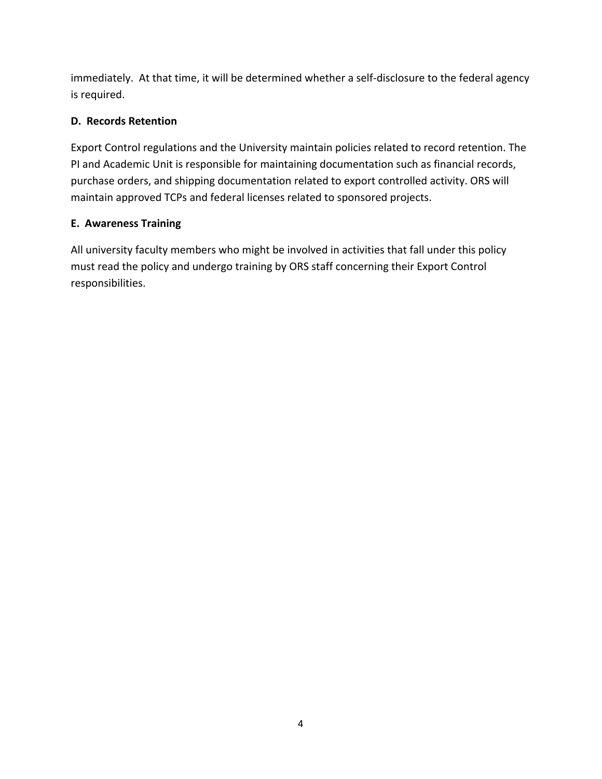immediately. At that time, it will be determined whether a self-disclosure to the federal agency is required.

# **D. Records Retention**

Export Control regulations and the University maintain policies related to record retention. The PI and Academic Unit is responsible for maintaining documentation such as financial records, purchase orders, and shipping documentation related to export controlled activity. ORS will maintain approved TCPs and federal licenses related to sponsored projects.

### **E. Awareness Training**

All university faculty members who might be involved in activities that fall under this policy must read the policy and undergo training by ORS staff concerning their Export Control responsibilities.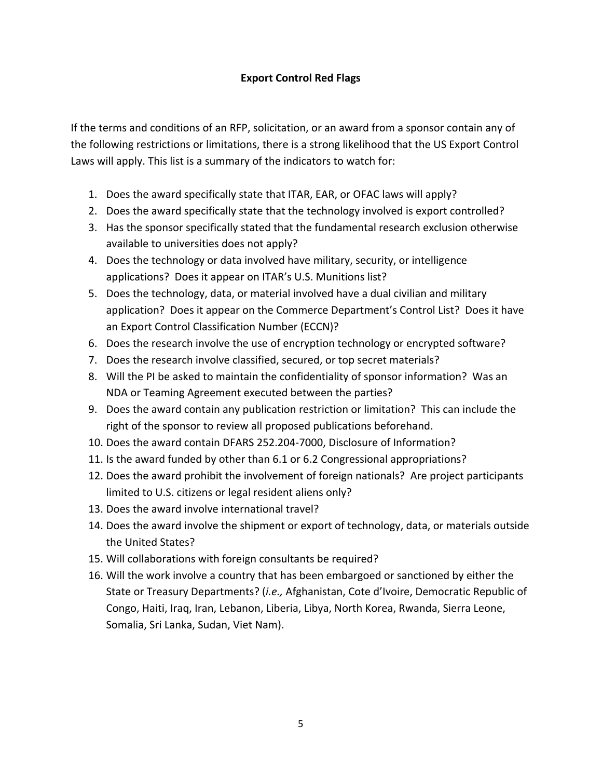## **Export Control Red Flags**

If the terms and conditions of an RFP, solicitation, or an award from a sponsor contain any of the following restrictions or limitations, there is a strong likelihood that the US Export Control Laws will apply. This list is a summary of the indicators to watch for:

- 1. Does the award specifically state that ITAR, EAR, or OFAC laws will apply?
- 2. Does the award specifically state that the technology involved is export controlled?
- 3. Has the sponsor specifically stated that the fundamental research exclusion otherwise available to universities does not apply?
- 4. Does the technology or data involved have military, security, or intelligence applications? Does it appear on ITAR's U.S. Munitions list?
- 5. Does the technology, data, or material involved have a dual civilian and military application? Does it appear on the Commerce Department's Control List? Does it have an Export Control Classification Number (ECCN)?
- 6. Does the research involve the use of encryption technology or encrypted software?
- 7. Does the research involve classified, secured, or top secret materials?
- 8. Will the PI be asked to maintain the confidentiality of sponsor information? Was an NDA or Teaming Agreement executed between the parties?
- 9. Does the award contain any publication restriction or limitation? This can include the right of the sponsor to review all proposed publications beforehand.
- 10. Does the award contain DFARS 252.204‐7000, Disclosure of Information?
- 11. Is the award funded by other than 6.1 or 6.2 Congressional appropriations?
- 12. Does the award prohibit the involvement of foreign nationals? Are project participants limited to U.S. citizens or legal resident aliens only?
- 13. Does the award involve international travel?
- 14. Does the award involve the shipment or export of technology, data, or materials outside the United States?
- 15. Will collaborations with foreign consultants be required?
- 16. Will the work involve a country that has been embargoed or sanctioned by either the State or Treasury Departments? (*i.e.,* Afghanistan, Cote d'Ivoire, Democratic Republic of Congo, Haiti, Iraq, Iran, Lebanon, Liberia, Libya, North Korea, Rwanda, Sierra Leone, Somalia, Sri Lanka, Sudan, Viet Nam).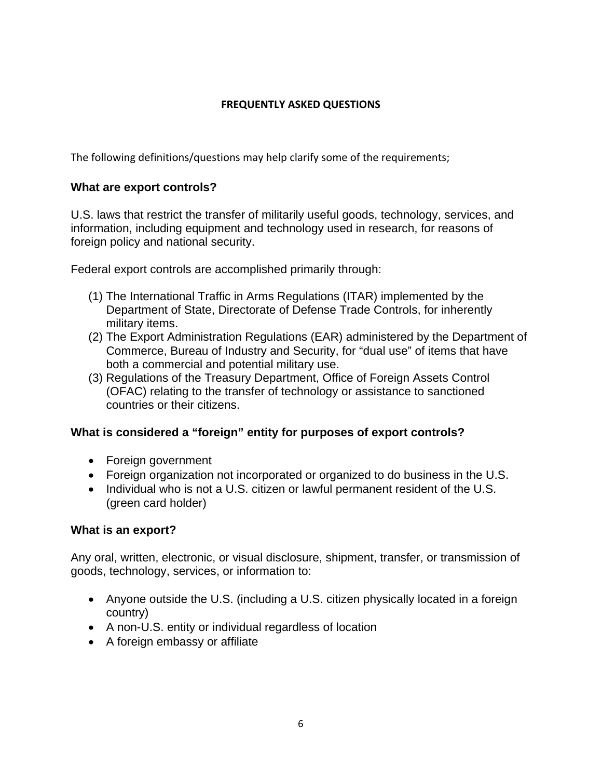## **FREQUENTLY ASKED QUESTIONS**

The following definitions/questions may help clarify some of the requirements;

# **What are export controls?**

U.S. laws that restrict the transfer of militarily useful goods, technology, services, and information, including equipment and technology used in research, for reasons of foreign policy and national security.

Federal export controls are accomplished primarily through:

- (1) The International Traffic in Arms Regulations (ITAR) implemented by the Department of State, Directorate of Defense Trade Controls, for inherently military items.
- (2) The Export Administration Regulations (EAR) administered by the Department of Commerce, Bureau of Industry and Security, for "dual use" of items that have both a commercial and potential military use.
- (3) Regulations of the Treasury Department, Office of Foreign Assets Control (OFAC) relating to the transfer of technology or assistance to sanctioned countries or their citizens.

# **What is considered a "foreign" entity for purposes of export controls?**

- Foreign government
- Foreign organization not incorporated or organized to do business in the U.S.
- Individual who is not a U.S. citizen or lawful permanent resident of the U.S. (green card holder)

### **What is an export?**

Any oral, written, electronic, or visual disclosure, shipment, transfer, or transmission of goods, technology, services, or information to:

- Anyone outside the U.S. (including a U.S. citizen physically located in a foreign country)
- A non-U.S. entity or individual regardless of location
- A foreign embassy or affiliate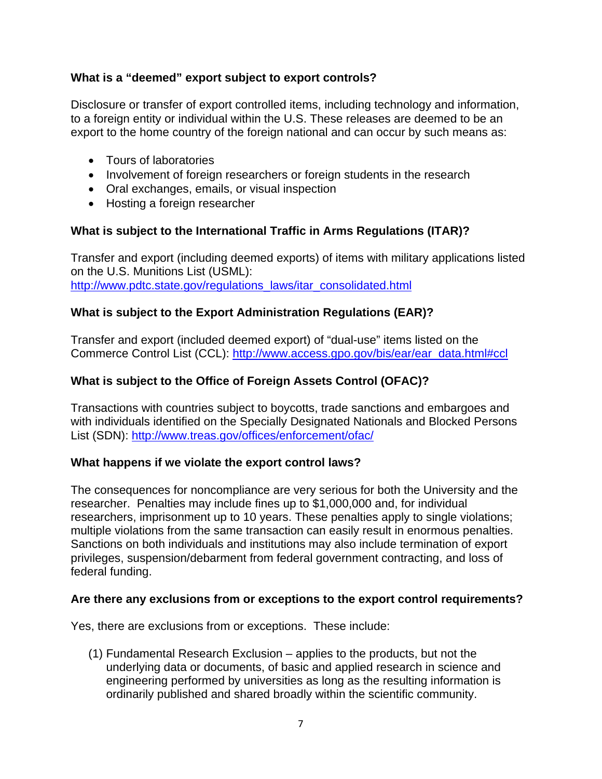# **What is a "deemed" export subject to export controls?**

Disclosure or transfer of export controlled items, including technology and information, to a foreign entity or individual within the U.S. These releases are deemed to be an export to the home country of the foreign national and can occur by such means as:

- Tours of laboratories
- Involvement of foreign researchers or foreign students in the research
- Oral exchanges, emails, or visual inspection
- Hosting a foreign researcher

# **What is subject to the International Traffic in Arms Regulations (ITAR)?**

Transfer and export (including deemed exports) of items with military applications listed on the U.S. Munitions List (USML): http://www.pdtc.state.gov/regulations\_laws/itar\_consolidated.html

# **What is subject to the Export Administration Regulations (EAR)?**

Transfer and export (included deemed export) of "dual-use" items listed on the Commerce Control List (CCL): http://www.access.gpo.gov/bis/ear/ear\_data.html#ccl

# **What is subject to the Office of Foreign Assets Control (OFAC)?**

Transactions with countries subject to boycotts, trade sanctions and embargoes and with individuals identified on the Specially Designated Nationals and Blocked Persons List (SDN): http://www.treas.gov/offices/enforcement/ofac/

### **What happens if we violate the export control laws?**

The consequences for noncompliance are very serious for both the University and the researcher. Penalties may include fines up to \$1,000,000 and, for individual researchers, imprisonment up to 10 years. These penalties apply to single violations; multiple violations from the same transaction can easily result in enormous penalties. Sanctions on both individuals and institutions may also include termination of export privileges, suspension/debarment from federal government contracting, and loss of federal funding.

### **Are there any exclusions from or exceptions to the export control requirements?**

Yes, there are exclusions from or exceptions. These include:

(1) Fundamental Research Exclusion – applies to the products, but not the underlying data or documents, of basic and applied research in science and engineering performed by universities as long as the resulting information is ordinarily published and shared broadly within the scientific community.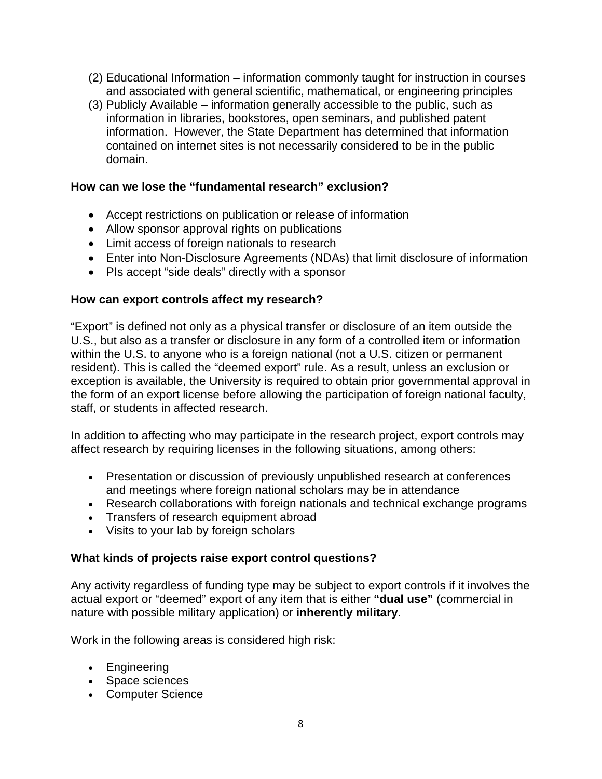- (2) Educational Information information commonly taught for instruction in courses and associated with general scientific, mathematical, or engineering principles
- (3) Publicly Available information generally accessible to the public, such as information in libraries, bookstores, open seminars, and published patent information. However, the State Department has determined that information contained on internet sites is not necessarily considered to be in the public domain.

#### **How can we lose the "fundamental research" exclusion?**

- Accept restrictions on publication or release of information
- Allow sponsor approval rights on publications
- Limit access of foreign nationals to research
- Enter into Non-Disclosure Agreements (NDAs) that limit disclosure of information
- PIs accept "side deals" directly with a sponsor

#### **How can export controls affect my research?**

"Export" is defined not only as a physical transfer or disclosure of an item outside the U.S., but also as a transfer or disclosure in any form of a controlled item or information within the U.S. to anyone who is a foreign national (not a U.S. citizen or permanent resident). This is called the "deemed export" rule. As a result, unless an exclusion or exception is available, the University is required to obtain prior governmental approval in the form of an export license before allowing the participation of foreign national faculty, staff, or students in affected research.

In addition to affecting who may participate in the research project, export controls may affect research by requiring licenses in the following situations, among others:

- Presentation or discussion of previously unpublished research at conferences and meetings where foreign national scholars may be in attendance
- Research collaborations with foreign nationals and technical exchange programs
- Transfers of research equipment abroad
- Visits to your lab by foreign scholars

#### **What kinds of projects raise export control questions?**

Any activity regardless of funding type may be subject to export controls if it involves the actual export or "deemed" export of any item that is either **"dual use"** (commercial in nature with possible military application) or **inherently military**.

Work in the following areas is considered high risk:

- Engineering
- Space sciences
- Computer Science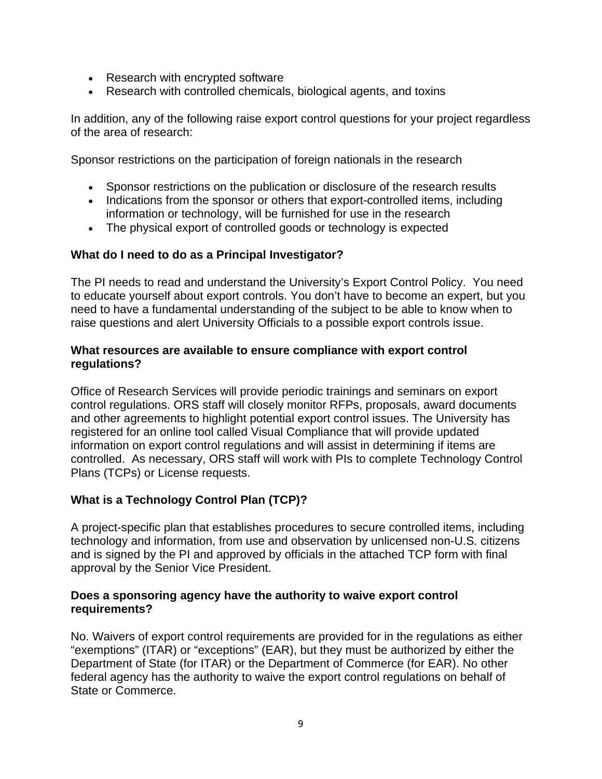- Research with encrypted software
- Research with controlled chemicals, biological agents, and toxins

In addition, any of the following raise export control questions for your project regardless of the area of research:

Sponsor restrictions on the participation of foreign nationals in the research

- Sponsor restrictions on the publication or disclosure of the research results
- Indications from the sponsor or others that export-controlled items, including information or technology, will be furnished for use in the research
- The physical export of controlled goods or technology is expected

### **What do I need to do as a Principal Investigator?**

The PI needs to read and understand the University's Export Control Policy. You need to educate yourself about export controls. You don't have to become an expert, but you need to have a fundamental understanding of the subject to be able to know when to raise questions and alert University Officials to a possible export controls issue.

#### **What resources are available to ensure compliance with export control regulations?**

Office of Research Services will provide periodic trainings and seminars on export control regulations. ORS staff will closely monitor RFPs, proposals, award documents and other agreements to highlight potential export control issues. The University has registered for an online tool called Visual Compliance that will provide updated information on export control regulations and will assist in determining if items are controlled. As necessary, ORS staff will work with PIs to complete Technology Control Plans (TCPs) or License requests.

# **What is a Technology Control Plan (TCP)?**

A project-specific plan that establishes procedures to secure controlled items, including technology and information, from use and observation by unlicensed non-U.S. citizens and is signed by the PI and approved by officials in the attached TCP form with final approval by the Senior Vice President.

#### **Does a sponsoring agency have the authority to waive export control requirements?**

No. Waivers of export control requirements are provided for in the regulations as either "exemptions" (ITAR) or "exceptions" (EAR), but they must be authorized by either the Department of State (for ITAR) or the Department of Commerce (for EAR). No other federal agency has the authority to waive the export control regulations on behalf of State or Commerce.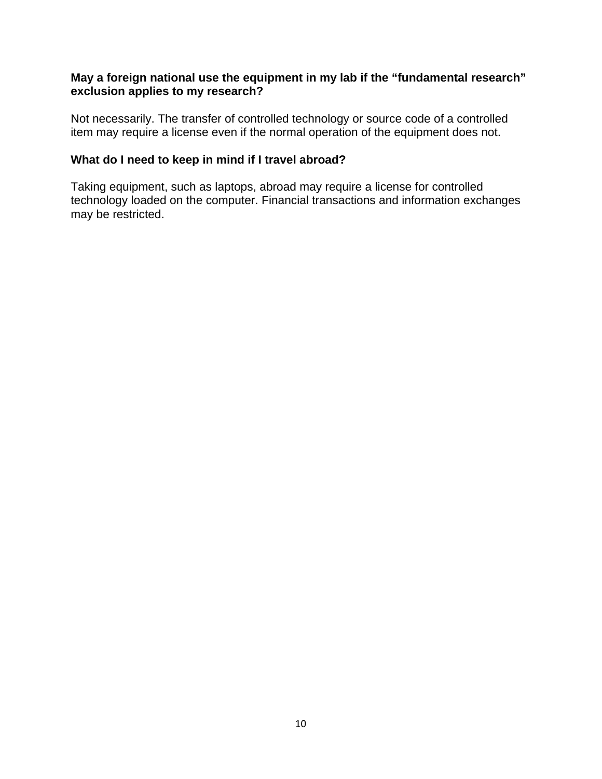## **May a foreign national use the equipment in my lab if the "fundamental research" exclusion applies to my research?**

Not necessarily. The transfer of controlled technology or source code of a controlled item may require a license even if the normal operation of the equipment does not.

## **What do I need to keep in mind if I travel abroad?**

Taking equipment, such as laptops, abroad may require a license for controlled technology loaded on the computer. Financial transactions and information exchanges may be restricted.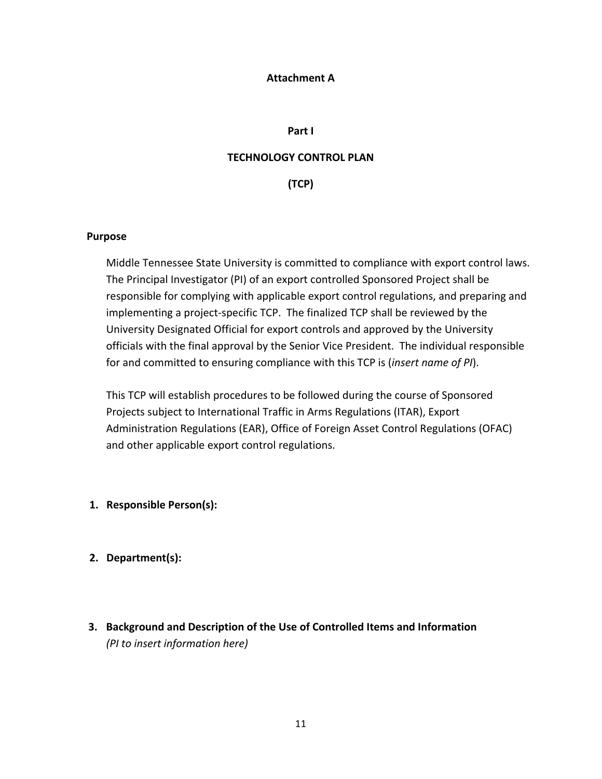#### **Attachment A**

#### **Part I**

#### **TECHNOLOGY CONTROL PLAN**

**(TCP)**

#### **Purpose**

Middle Tennessee State University is committed to compliance with export control laws. The Principal Investigator (PI) of an export controlled Sponsored Project shall be responsible for complying with applicable export control regulations, and preparing and implementing a project-specific TCP. The finalized TCP shall be reviewed by the University Designated Official for export controls and approved by the University officials with the final approval by the Senior Vice President. The individual responsible for and committed to ensuring compliance with this TCP is (*insert name of PI*).

This TCP will establish procedures to be followed during the course of Sponsored Projects subject to International Traffic in Arms Regulations (ITAR), Export Administration Regulations (EAR), Office of Foreign Asset Control Regulations (OFAC) and other applicable export control regulations.

- **1. Responsible Person(s):**
- **2. Department(s):**
- **3. Background and Description of the Use of Controlled Items and Information** *(PI to insert information here)*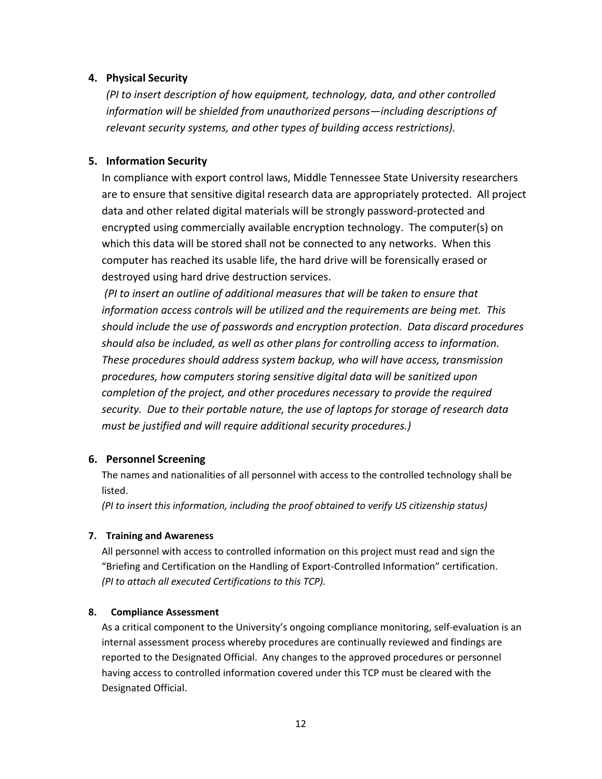#### **4. Physical Security**

*(PI to insert description of how equipment, technology, data, and other controlled information will be shielded from unauthorized persons—including descriptions of relevant security systems, and other types of building access restrictions).*

#### **5. Information Security**

In compliance with export control laws, Middle Tennessee State University researchers are to ensure that sensitive digital research data are appropriately protected. All project data and other related digital materials will be strongly password‐protected and encrypted using commercially available encryption technology. The computer(s) on which this data will be stored shall not be connected to any networks. When this computer has reached its usable life, the hard drive will be forensically erased or destroyed using hard drive destruction services.

*(PI to insert an outline of additional measures that will be taken to ensure that information access controls will be utilized and the requirements are being met. This should include the use of passwords and encryption protection. Data discard procedures should also be included, as well as other plans for controlling access to information. These procedures should address system backup, who will have access, transmission procedures, how computers storing sensitive digital data will be sanitized upon completion of the project, and other procedures necessary to provide the required security. Due to their portable nature, the use of laptops for storage of research data must be justified and will require additional security procedures.)*

#### **6. Personnel Screening**

The names and nationalities of all personnel with access to the controlled technology shall be listed.

*(PI to insert this information, including the proof obtained to verify US citizenship status)*

#### **7. Training and Awareness**

All personnel with access to controlled information on this project must read and sign the "Briefing and Certification on the Handling of Export‐Controlled Information" certification. *(PI to attach all executed Certifications to this TCP).*

#### **8. Compliance Assessment**

As a critical component to the University's ongoing compliance monitoring, self‐evaluation is an internal assessment process whereby procedures are continually reviewed and findings are reported to the Designated Official. Any changes to the approved procedures or personnel having access to controlled information covered under this TCP must be cleared with the Designated Official.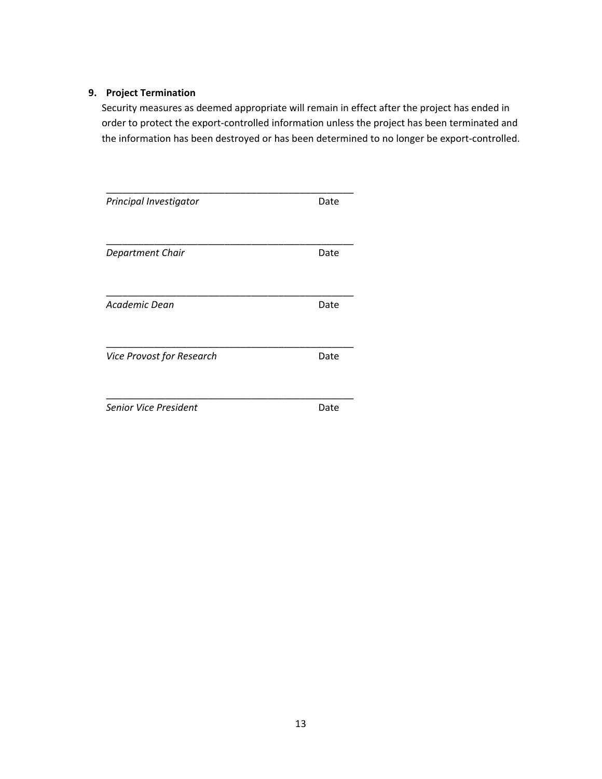#### **9. Project Termination**

Security measures as deemed appropriate will remain in effect after the project has ended in order to protect the export‐controlled information unless the project has been terminated and the information has been destroyed or has been determined to no longer be export‐controlled.

| Principal Investigator       | Date |  |
|------------------------------|------|--|
| Department Chair             | Date |  |
| Academic Dean                | Date |  |
| Vice Provost for Research    | Date |  |
| <b>Senior Vice President</b> | Date |  |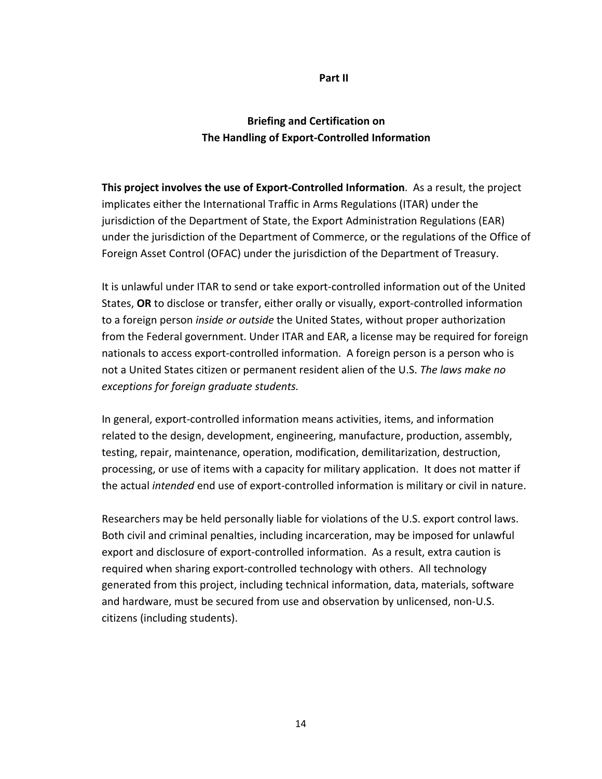#### **Part II**

# **Briefing and Certification on The Handling of Export‐Controlled Information**

**This project involves the use of Export‐Controlled Information**. As a result, the project implicates either the International Traffic in Arms Regulations (ITAR) under the jurisdiction of the Department of State, the Export Administration Regulations (EAR) under the jurisdiction of the Department of Commerce, or the regulations of the Office of Foreign Asset Control (OFAC) under the jurisdiction of the Department of Treasury.

It is unlawful under ITAR to send or take export‐controlled information out of the United States, **OR** to disclose or transfer, either orally or visually, export‐controlled information to a foreign person *inside or outside* the United States, without proper authorization from the Federal government. Under ITAR and EAR, a license may be required for foreign nationals to access export‐controlled information. A foreign person is a person who is not a United States citizen or permanent resident alien of the U.S. *The laws make no exceptions for foreign graduate students.*

In general, export‐controlled information means activities, items, and information related to the design, development, engineering, manufacture, production, assembly, testing, repair, maintenance, operation, modification, demilitarization, destruction, processing, or use of items with a capacity for military application. It does not matter if the actual *intended* end use of export‐controlled information is military or civil in nature.

Researchers may be held personally liable for violations of the U.S. export control laws. Both civil and criminal penalties, including incarceration, may be imposed for unlawful export and disclosure of export‐controlled information. As a result, extra caution is required when sharing export‐controlled technology with others. All technology generated from this project, including technical information, data, materials, software and hardware, must be secured from use and observation by unlicensed, non‐U.S. citizens (including students).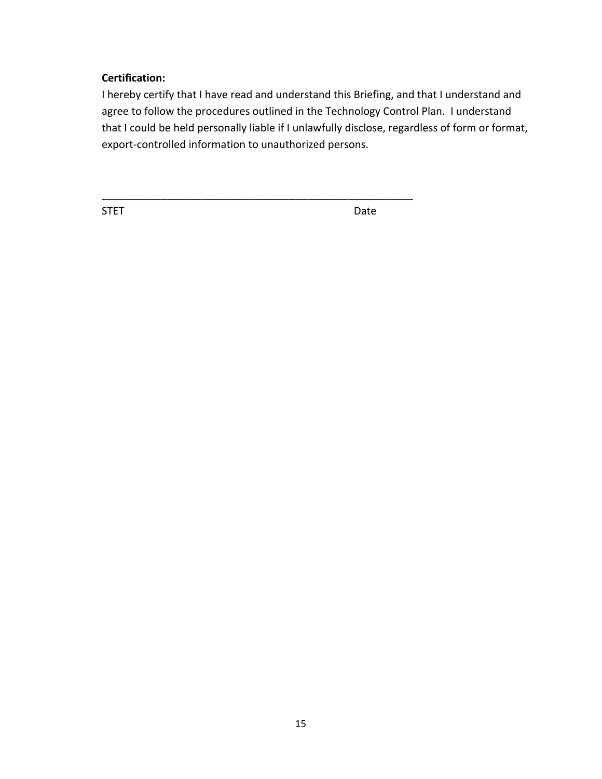# **Certification:**

I hereby certify that I have read and understand this Briefing, and that I understand and agree to follow the procedures outlined in the Technology Control Plan. I understand that I could be held personally liable if I unlawfully disclose, regardless of form or format, export-controlled information to unauthorized persons.

\_\_\_\_\_\_\_\_\_\_\_\_\_\_\_\_\_\_\_\_\_\_\_\_\_\_\_\_\_\_\_\_\_\_\_\_\_\_\_\_\_\_\_\_\_\_\_\_\_\_\_\_\_

STET DATE OF THE STET STEEP OF THE STEEP OF THE STEEP OF THE STEEP OF THE STEEP OF THE STEEP OF THE STEEP OF THE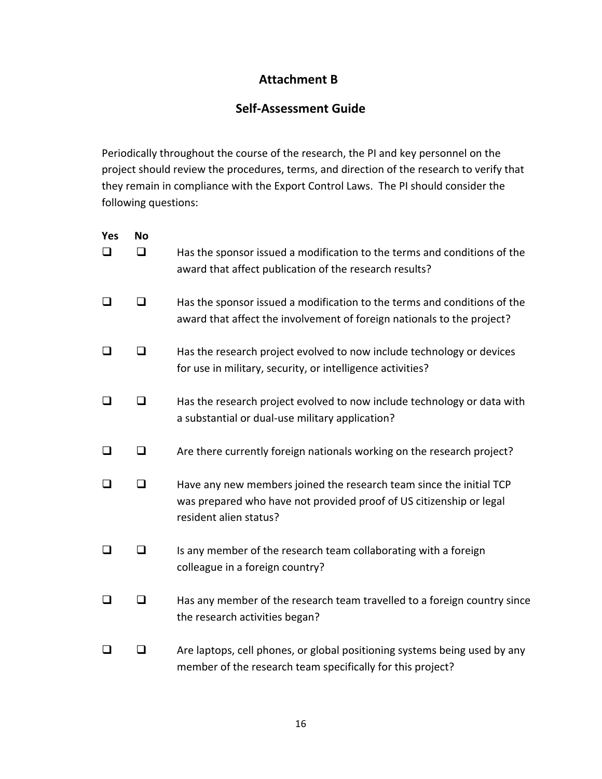# **Attachment B**

# **Self‐Assessment Guide**

Periodically throughout the course of the research, the PI and key personnel on the project should review the procedures, terms, and direction of the research to verify that they remain in compliance with the Export Control Laws. The PI should consider the following questions:

| Yes<br>□ | No<br>❏ | Has the sponsor issued a modification to the terms and conditions of the<br>award that affect publication of the research results?                                   |
|----------|---------|----------------------------------------------------------------------------------------------------------------------------------------------------------------------|
| ❏        | ❏       | Has the sponsor issued a modification to the terms and conditions of the<br>award that affect the involvement of foreign nationals to the project?                   |
| ❏        | ❏       | Has the research project evolved to now include technology or devices<br>for use in military, security, or intelligence activities?                                  |
| ❏        | □       | Has the research project evolved to now include technology or data with<br>a substantial or dual-use military application?                                           |
| $\Box$   | $\Box$  | Are there currently foreign nationals working on the research project?                                                                                               |
| $\Box$   | ◻       | Have any new members joined the research team since the initial TCP<br>was prepared who have not provided proof of US citizenship or legal<br>resident alien status? |
| $\Box$   | $\Box$  | Is any member of the research team collaborating with a foreign<br>colleague in a foreign country?                                                                   |
| ❏        | ❏       | Has any member of the research team travelled to a foreign country since<br>the research activities began?                                                           |
| ❏        | ◻       | Are laptops, cell phones, or global positioning systems being used by any<br>member of the research team specifically for this project?                              |